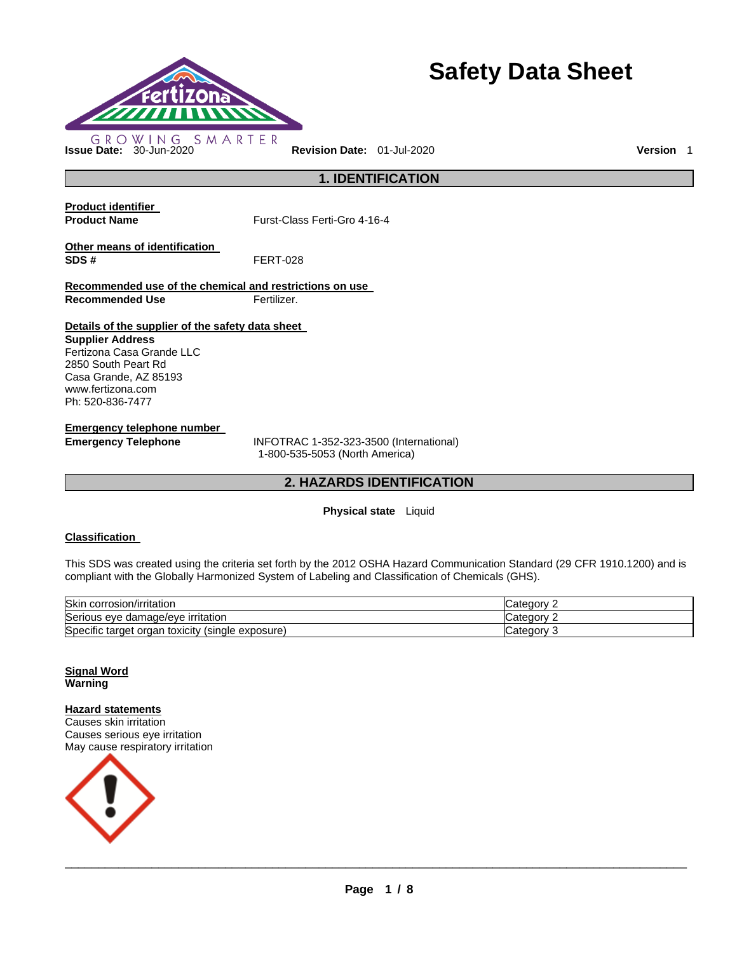

# **Safety Data Sheet**

**1. IDENTIFICATION** 

**Product identifier** 

**Product Name Furst-Class Ferti-Gro 4-16-4** 

**Other means of identification SDS #** FERT-028

**Recommended use of the chemical and restrictions on use Recommended Use Fertilizer.** 

**Details of the supplier of the safety data sheet** 

**Supplier Address** Fertizona Casa Grande LLC 2850 South Peart Rd Casa Grande, AZ 85193 www.fertizona.com Ph: 520-836-7477

**Emergency telephone number** 

**Emergency Telephone** INFOTRAC 1-352-323-3500 (International) 1-800-535-5053 (North America)

# **2. HAZARDS IDENTIFICATION**

# **Physical state** Liquid

## **Classification**

This SDS was created using the criteria set forth by the 2012 OSHA Hazard Communication Standard (29 CFR 1910.1200) and is compliant with the Globally Harmonized System of Labeling and Classification of Chemicals (GHS).

| Skin corrosion/irritation                                     | ′ ategory۔        |
|---------------------------------------------------------------|-------------------|
| Serious eye damage/eye irritation                             | َ atedory:        |
| Specific target<br>toxicity<br>(single)<br>exposure)<br>organ | ∵ategoryٽ<br>- 12 |

**Signal Word Warning** 

**Hazard statements** Causes skin irritation Causes serious eye irritation

May cause respiratory irritation

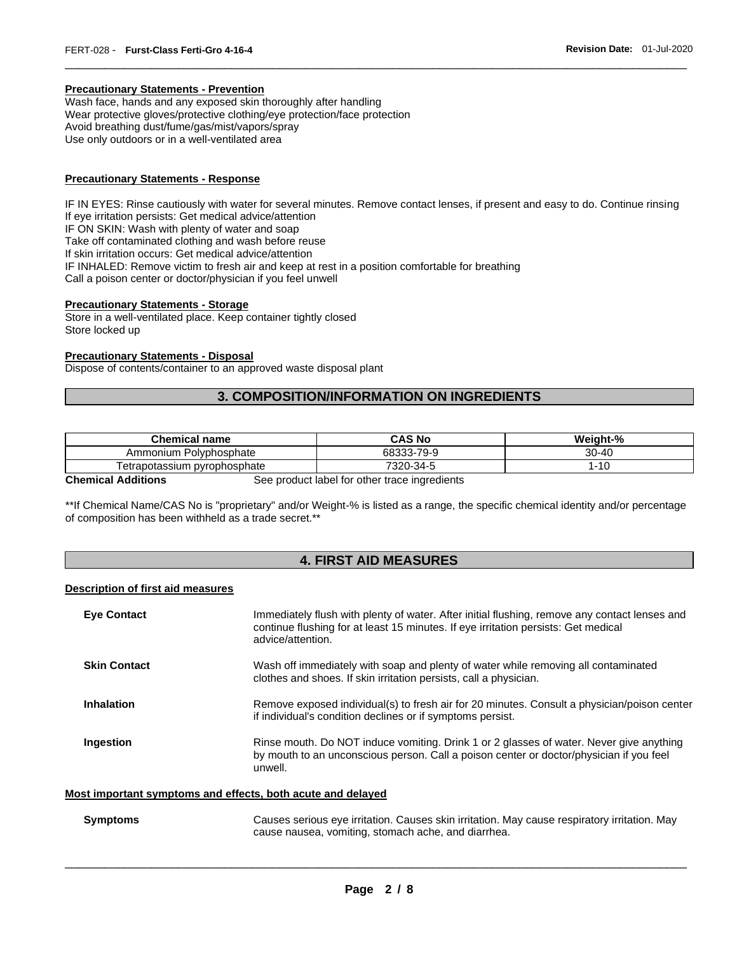#### **Precautionary Statements - Prevention**

Wash face, hands and any exposed skin thoroughly after handling Wear protective gloves/protective clothing/eye protection/face protection Avoid breathing dust/fume/gas/mist/vapors/spray Use only outdoors or in a well-ventilated area

#### **Precautionary Statements - Response**

IF IN EYES: Rinse cautiously with water for several minutes. Remove contact lenses, if present and easy to do. Continue rinsing If eye irritation persists: Get medical advice/attention IF ON SKIN: Wash with plenty of water and soap Take off contaminated clothing and wash before reuse If skin irritation occurs: Get medical advice/attention IF INHALED: Remove victim to fresh air and keep at rest in a position comfortable for breathing Call a poison center or doctor/physician if you feel unwell

\_\_\_\_\_\_\_\_\_\_\_\_\_\_\_\_\_\_\_\_\_\_\_\_\_\_\_\_\_\_\_\_\_\_\_\_\_\_\_\_\_\_\_\_\_\_\_\_\_\_\_\_\_\_\_\_\_\_\_\_\_\_\_\_\_\_\_\_\_\_\_\_\_\_\_\_\_\_\_\_\_\_\_\_\_\_\_\_\_\_\_\_\_

#### **Precautionary Statements - Storage**

Store in a well-ventilated place. Keep container tightly closed Store locked up

#### **Precautionary Statements - Disposal**

Dispose of contents/container to an approved waste disposal plant

# **3. COMPOSITION/INFORMATION ON INGREDIENTS**

| <b>Chemical name</b>          | CAS No           | Weight-%  |
|-------------------------------|------------------|-----------|
| Polvphosphate<br>Ammonium     | -79-9<br>68333-7 | $30 - 40$ |
| l etrapotassium pvrophosphate | 7320-34-5        | -10       |

**Chemical Additions See product label for other trace ingredients** 

\*\*If Chemical Name/CAS No is "proprietary" and/or Weight-% is listed as a range, the specific chemical identity and/or percentage of composition has been withheld as a trade secret.\*\*

# **4. FIRST AID MEASURES**

#### **Description of first aid measures**

| <b>Eye Contact</b>  | Immediately flush with plenty of water. After initial flushing, remove any contact lenses and<br>continue flushing for at least 15 minutes. If eye irritation persists: Get medical<br>advice/attention. |
|---------------------|----------------------------------------------------------------------------------------------------------------------------------------------------------------------------------------------------------|
| <b>Skin Contact</b> | Wash off immediately with soap and plenty of water while removing all contaminated<br>clothes and shoes. If skin irritation persists, call a physician.                                                  |
| <b>Inhalation</b>   | Remove exposed individual(s) to fresh air for 20 minutes. Consult a physician/poison center<br>if individual's condition declines or if symptoms persist.                                                |
| Ingestion           | Rinse mouth. Do NOT induce vomiting. Drink 1 or 2 glasses of water. Never give anything<br>by mouth to an unconscious person. Call a poison center or doctor/physician if you feel<br>unwell.            |

#### **Most important symptoms and effects, both acute and delayed**

| Symptoms | Causes serious eye irritation. Causes skin irritation. May cause respiratory irritation. May |
|----------|----------------------------------------------------------------------------------------------|
|          | cause nausea, vomiting, stomach ache, and diarrhea.                                          |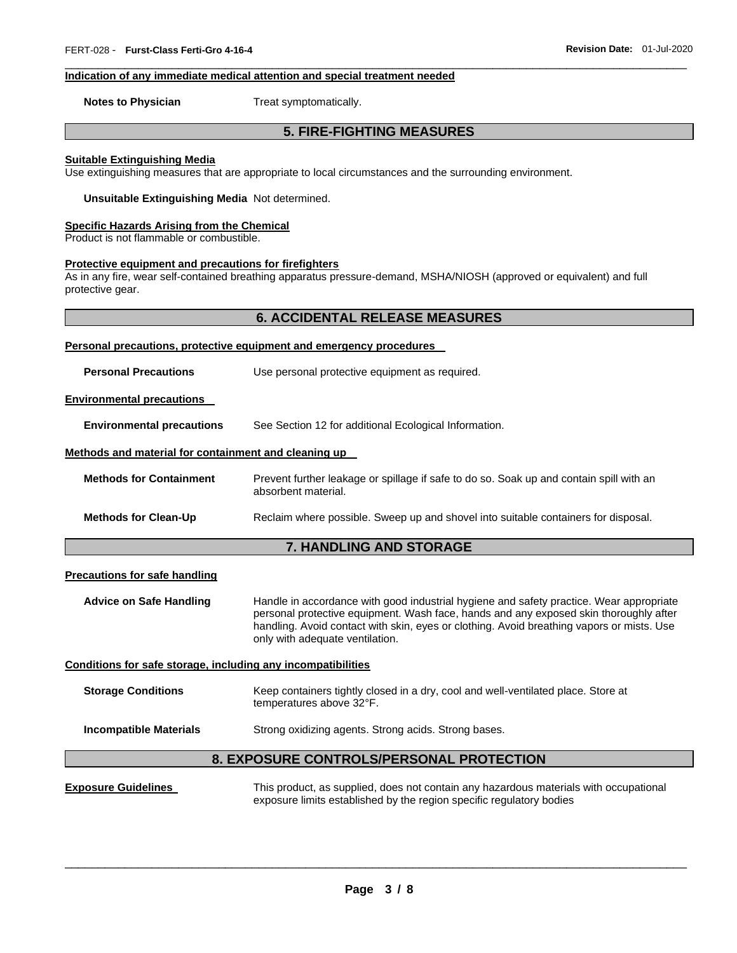#### **Indication of any immediate medical attention and special treatment needed**

**Notes to Physician Treat symptomatically.** 

# **5. FIRE-FIGHTING MEASURES**

\_\_\_\_\_\_\_\_\_\_\_\_\_\_\_\_\_\_\_\_\_\_\_\_\_\_\_\_\_\_\_\_\_\_\_\_\_\_\_\_\_\_\_\_\_\_\_\_\_\_\_\_\_\_\_\_\_\_\_\_\_\_\_\_\_\_\_\_\_\_\_\_\_\_\_\_\_\_\_\_\_\_\_\_\_\_\_\_\_\_\_\_\_

#### **Suitable Extinguishing Media**

Use extinguishing measures that are appropriate to local circumstances and the surrounding environment.

**Unsuitable Extinguishing Media** Not determined.

#### **Specific Hazards Arising from the Chemical**

Product is not flammable or combustible.

## **Protective equipment and precautions for firefighters**

As in any fire, wear self-contained breathing apparatus pressure-demand, MSHA/NIOSH (approved or equivalent) and full protective gear.

| Personal precautions, protective equipment and emergency procedures |                                                                                                                |  |
|---------------------------------------------------------------------|----------------------------------------------------------------------------------------------------------------|--|
| <b>Personal Precautions</b>                                         | Use personal protective equipment as required.                                                                 |  |
| <b>Environmental precautions</b>                                    |                                                                                                                |  |
| <b>Environmental precautions</b>                                    | See Section 12 for additional Ecological Information.                                                          |  |
| Methods and material for containment and cleaning up                |                                                                                                                |  |
| <b>Methods for Containment</b>                                      | Prevent further leakage or spillage if safe to do so. Soak up and contain spill with an<br>absorbent material. |  |
| <b>Methods for Clean-Up</b>                                         | Reclaim where possible. Sweep up and shovel into suitable containers for disposal.                             |  |
| <b>7. HANDLING AND STORAGE</b>                                      |                                                                                                                |  |

#### **Precautions for safe handling**

**Advice on Safe Handling** Handle in accordance with good industrial hygiene and safety practice. Wear appropriate personal protective equipment. Wash face, hands and any exposed skin thoroughly after handling. Avoid contact with skin, eyes or clothing. Avoid breathing vapors or mists. Use only with adequate ventilation.

#### **Conditions for safe storage, including any incompatibilities**

| <b>Storage Conditions</b> | Keep containers tightly closed in a dry, cool and well-ventilated place. Store at |
|---------------------------|-----------------------------------------------------------------------------------|
|                           | temperatures above 32°F.                                                          |

**Incompatible Materials Strong oxidizing agents. Strong acids. Strong bases.** 

## **8. EXPOSURE CONTROLS/PERSONAL PROTECTION**

**Exposure Guidelines** This product, as supplied, does not contain any hazardous materials with occupational exposure limits established by the region specific regulatory bodies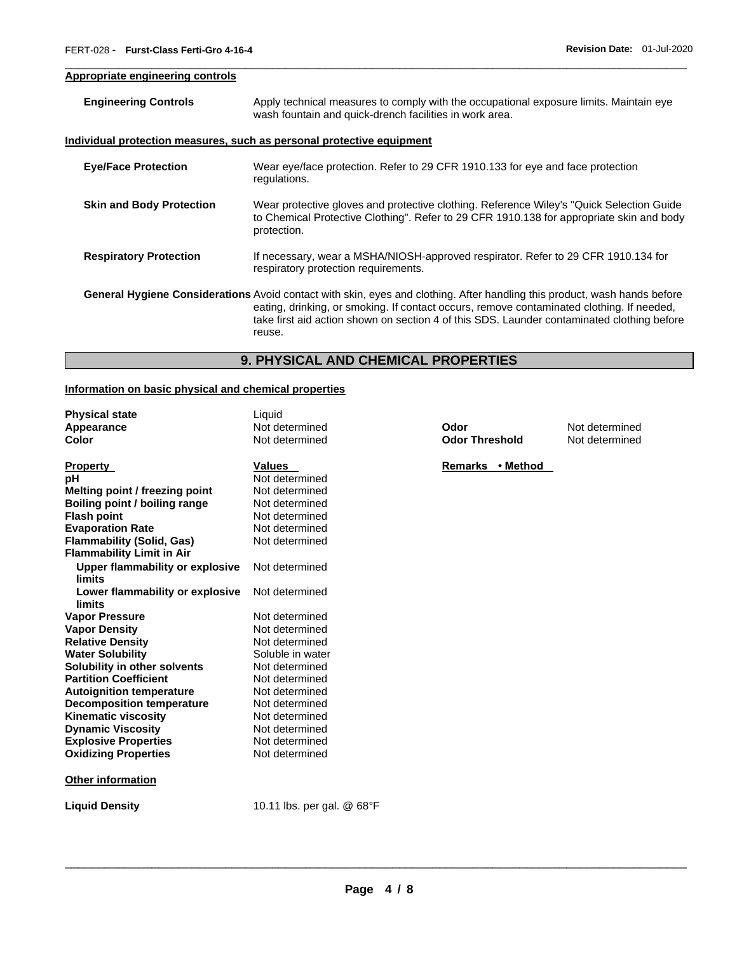## **Appropriate engineering controls**

| <b>Engineering Controls</b>     | Apply technical measures to comply with the occupational exposure limits. Maintain eye<br>wash fountain and quick-drench facilities in work area.                                                                                                                                                                              |
|---------------------------------|--------------------------------------------------------------------------------------------------------------------------------------------------------------------------------------------------------------------------------------------------------------------------------------------------------------------------------|
|                                 | <u>Individual protection measures, such as personal protective equipment</u>                                                                                                                                                                                                                                                   |
| <b>Eye/Face Protection</b>      | Wear eye/face protection. Refer to 29 CFR 1910.133 for eye and face protection<br>regulations.                                                                                                                                                                                                                                 |
| <b>Skin and Body Protection</b> | Wear protective gloves and protective clothing. Reference Wiley's "Quick Selection Guide"<br>to Chemical Protective Clothing". Refer to 29 CFR 1910.138 for appropriate skin and body<br>protection.                                                                                                                           |
| <b>Respiratory Protection</b>   | If necessary, wear a MSHA/NIOSH-approved respirator. Refer to 29 CFR 1910.134 for<br>respiratory protection requirements.                                                                                                                                                                                                      |
|                                 | General Hygiene Considerations Avoid contact with skin, eyes and clothing. After handling this product, wash hands before<br>eating, drinking, or smoking. If contact occurs, remove contaminated clothing. If needed,<br>take first aid action shown on section 4 of this SDS. Launder contaminated clothing before<br>reuse. |

\_\_\_\_\_\_\_\_\_\_\_\_\_\_\_\_\_\_\_\_\_\_\_\_\_\_\_\_\_\_\_\_\_\_\_\_\_\_\_\_\_\_\_\_\_\_\_\_\_\_\_\_\_\_\_\_\_\_\_\_\_\_\_\_\_\_\_\_\_\_\_\_\_\_\_\_\_\_\_\_\_\_\_\_\_\_\_\_\_\_\_\_\_

# **9. PHYSICAL AND CHEMICAL PROPERTIES**

# **Information on basic physical and chemical properties**

| <b>Physical state</b>                  | Liquid              |
|----------------------------------------|---------------------|
| Appearance                             | Not determined      |
| Color                                  | Not determined      |
|                                        |                     |
| <b>Property</b>                        | <b>Values</b>       |
| рH                                     | Not determined      |
| Melting point / freezing point         | Not determined      |
| Boiling point / boiling range          | Not determined      |
| <b>Flash point</b>                     | Not determined      |
| <b>Evaporation Rate</b>                | Not determined      |
| <b>Flammability (Solid, Gas)</b>       | Not determined      |
| <b>Flammability Limit in Air</b>       |                     |
| <b>Upper flammability or explosive</b> | Not determined      |
| limits                                 |                     |
| Lower flammability or explosive        | Not determined      |
| limits                                 |                     |
| <b>Vapor Pressure</b>                  | Not determined      |
| <b>Vapor Density</b>                   | Not determined      |
| <b>Relative Density</b>                | Not determined      |
| <b>Water Solubility</b>                | Soluble in water    |
| Solubility in other solvents           | Not determined      |
| <b>Partition Coefficient</b>           | Not determined      |
| <b>Autoignition temperature</b>        | Not determined      |
| <b>Decomposition temperature</b>       | Not determined      |
| Kinematic viscosity                    | Not determined      |
| <b>Dynamic Viscosity</b>               | Not determined      |
| <b>Explosive Properties</b>            | Not determined      |
| <b>Oxidizing Properties</b>            | Not determined      |
|                                        |                     |
| Other information                      |                     |
| <b>Liquid Density</b>                  | 10.11 lbs. per gal. |
|                                        |                     |

**Apple Therefore End Codor<br>
<b>A** Post determined **Odor Threshold** Not determined **Odor Threshold** 

**Remarks • Method** 

\_\_\_\_\_\_\_\_\_\_\_\_\_\_\_\_\_\_\_\_\_\_\_\_\_\_\_\_\_\_\_\_\_\_\_\_\_\_\_\_\_\_\_\_\_\_\_\_\_\_\_\_\_\_\_\_\_\_\_\_\_\_\_\_\_\_\_\_\_\_\_\_\_\_\_\_\_\_\_\_\_\_\_\_\_\_\_\_\_\_\_\_\_

**Liquid Density** 10.11 lbs. per gal. @ 68°F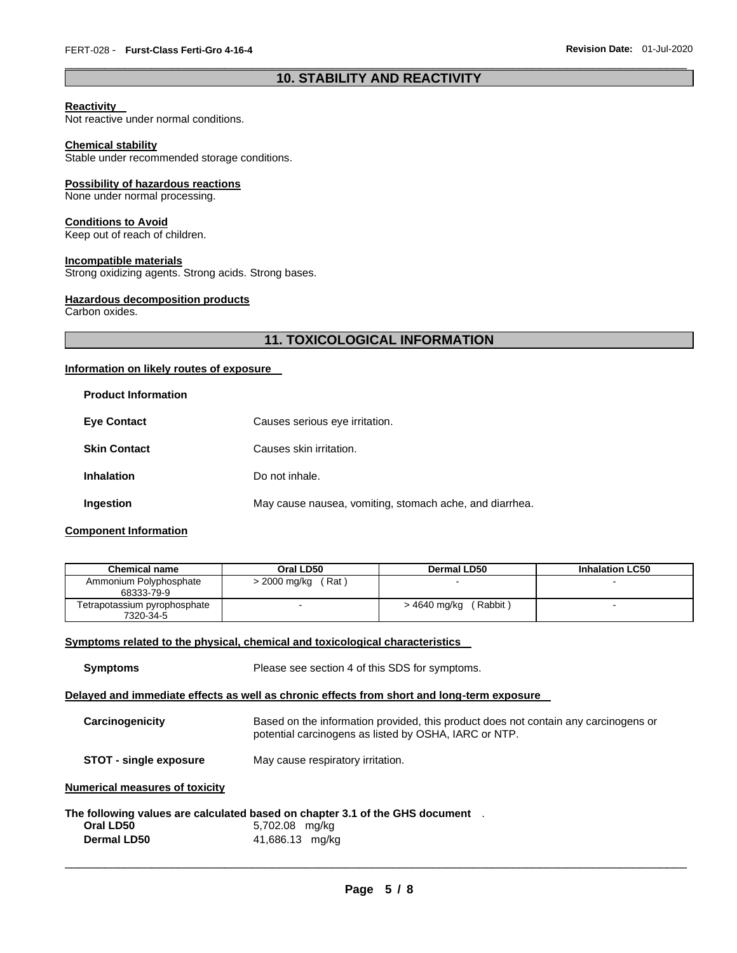# \_\_\_\_\_\_\_\_\_\_\_\_\_\_\_\_\_\_\_\_\_\_\_\_\_\_\_\_\_\_\_\_\_\_\_\_\_\_\_\_\_\_\_\_\_\_\_\_\_\_\_\_\_\_\_\_\_\_\_\_\_\_\_\_\_\_\_\_\_\_\_\_\_\_\_\_\_\_\_\_\_\_\_\_\_\_\_\_\_\_\_\_\_ **10. STABILITY AND REACTIVITY**

## **Reactivity**

Not reactive under normal conditions.

#### **Chemical stability**

Stable under recommended storage conditions.

#### **Possibility of hazardous reactions**

None under normal processing.

#### **Conditions to Avoid**

Keep out of reach of children.

# **Incompatible materials**

Strong oxidizing agents. Strong acids. Strong bases.

### **Hazardous decomposition products**

Carbon oxides.

# **11. TOXICOLOGICAL INFORMATION**

#### **Information on likely routes of exposure**

| <b>Product Information</b> |                                                         |
|----------------------------|---------------------------------------------------------|
| <b>Eve Contact</b>         | Causes serious eye irritation.                          |
| <b>Skin Contact</b>        | Causes skin irritation.                                 |
| <b>Inhalation</b>          | Do not inhale.                                          |
| Ingestion                  | May cause nausea, vomiting, stomach ache, and diarrhea. |

## **Component Information**

| Chemical name                             | Oral LD50             | Dermal LD50                | <b>Inhalation LC50</b> |
|-------------------------------------------|-----------------------|----------------------------|------------------------|
| Ammonium Polyphosphate<br>68333-79-9      | > 2000 mg/kg<br>(Rat) |                            |                        |
| Tetrapotassium pyrophosphate<br>7320-34-5 |                       | (Rabbit)<br>> 4640 mg/kg ( |                        |

### **Symptoms related to the physical, chemical and toxicological characteristics**

**Symptoms** Please see section 4 of this SDS for symptoms.

# **Delayed and immediate effects as well as chronic effects from short and long-term exposure**

| Carcinogenicity               | Based on the information provided, this product does not contain any carcinogens or<br>potential carcinogens as listed by OSHA, IARC or NTP. |
|-------------------------------|----------------------------------------------------------------------------------------------------------------------------------------------|
| <b>STOT - single exposure</b> | May cause respiratory irritation.                                                                                                            |

#### **Numerical measures of toxicity**

#### **The following values are calculated based on chapter 3.1 of the GHS document** . **Oral LD50** 5,702.08 mg/kg

| 41,686.13 mg/kg<br><b>Dermal LD50</b> |  |
|---------------------------------------|--|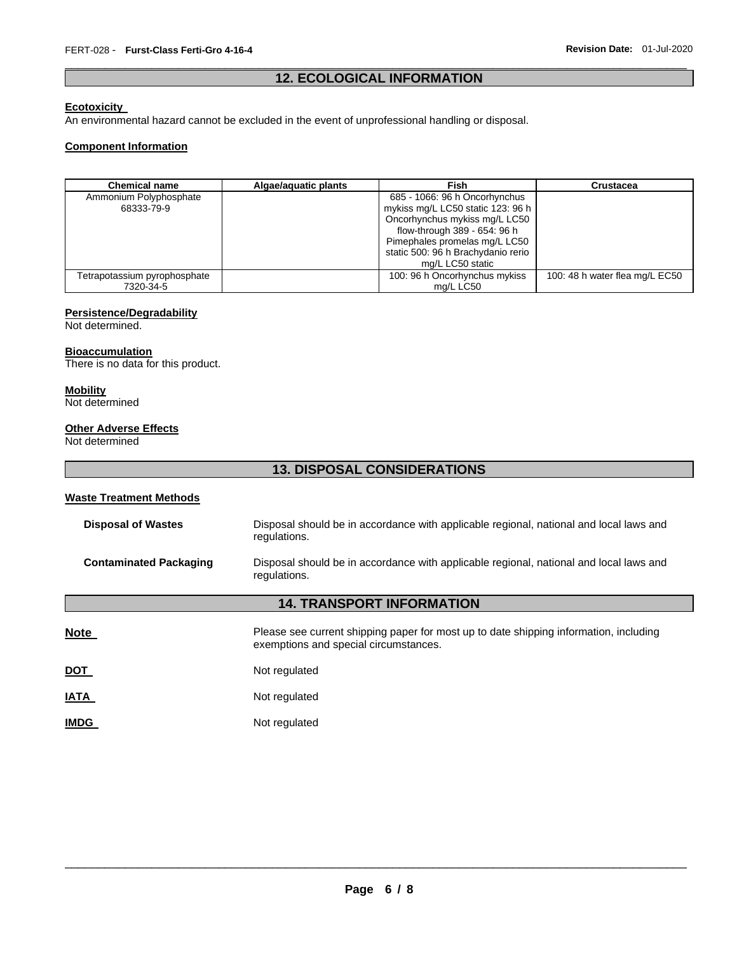# \_\_\_\_\_\_\_\_\_\_\_\_\_\_\_\_\_\_\_\_\_\_\_\_\_\_\_\_\_\_\_\_\_\_\_\_\_\_\_\_\_\_\_\_\_\_\_\_\_\_\_\_\_\_\_\_\_\_\_\_\_\_\_\_\_\_\_\_\_\_\_\_\_\_\_\_\_\_\_\_\_\_\_\_\_\_\_\_\_\_\_\_\_ **12. ECOLOGICAL INFORMATION**

## **Ecotoxicity**

An environmental hazard cannot be excluded in the event of unprofessional handling or disposal.

## **Component Information**

| <b>Chemical name</b>                 | Algae/aquatic plants | Fish                                                                | Crustacea                      |
|--------------------------------------|----------------------|---------------------------------------------------------------------|--------------------------------|
| Ammonium Polyphosphate<br>68333-79-9 |                      | 685 - 1066: 96 h Oncorhynchus<br>mykiss mg/L LC50 static 123: 96 h  |                                |
|                                      |                      | Oncorhynchus mykiss mg/L LC50<br>flow-through 389 - 654: 96 h       |                                |
|                                      |                      | Pimephales promelas mg/L LC50<br>static 500: 96 h Brachydanio rerio |                                |
|                                      |                      | mg/L LC50 static                                                    |                                |
| Tetrapotassium pyrophosphate         |                      | 100: 96 h Oncorhynchus mykiss                                       | 100: 48 h water flea mg/L EC50 |
| 7320-34-5                            |                      | ma/L LC50                                                           |                                |

# **Persistence/Degradability**

Not determined.

# **Bioaccumulation**

There is no data for this product.

# **Mobility**

Not determined

## **Other Adverse Effects**

Not determined

# **13. DISPOSAL CONSIDERATIONS**

## **Waste Treatment Methods**

| <b>Disposal of Wastes</b>        | Disposal should be in accordance with applicable regional, national and local laws and<br>regulations.                         |  |  |  |  |  |  |
|----------------------------------|--------------------------------------------------------------------------------------------------------------------------------|--|--|--|--|--|--|
| <b>Contaminated Packaging</b>    | Disposal should be in accordance with applicable regional, national and local laws and<br>regulations.                         |  |  |  |  |  |  |
| <b>14. TRANSPORT INFORMATION</b> |                                                                                                                                |  |  |  |  |  |  |
| <b>Note</b>                      | Please see current shipping paper for most up to date shipping information, including<br>exemptions and special circumstances. |  |  |  |  |  |  |
| <b>DOT</b>                       | Not regulated                                                                                                                  |  |  |  |  |  |  |
| <b>IATA</b>                      | Not regulated                                                                                                                  |  |  |  |  |  |  |
| <b>IMDG</b>                      | Not regulated                                                                                                                  |  |  |  |  |  |  |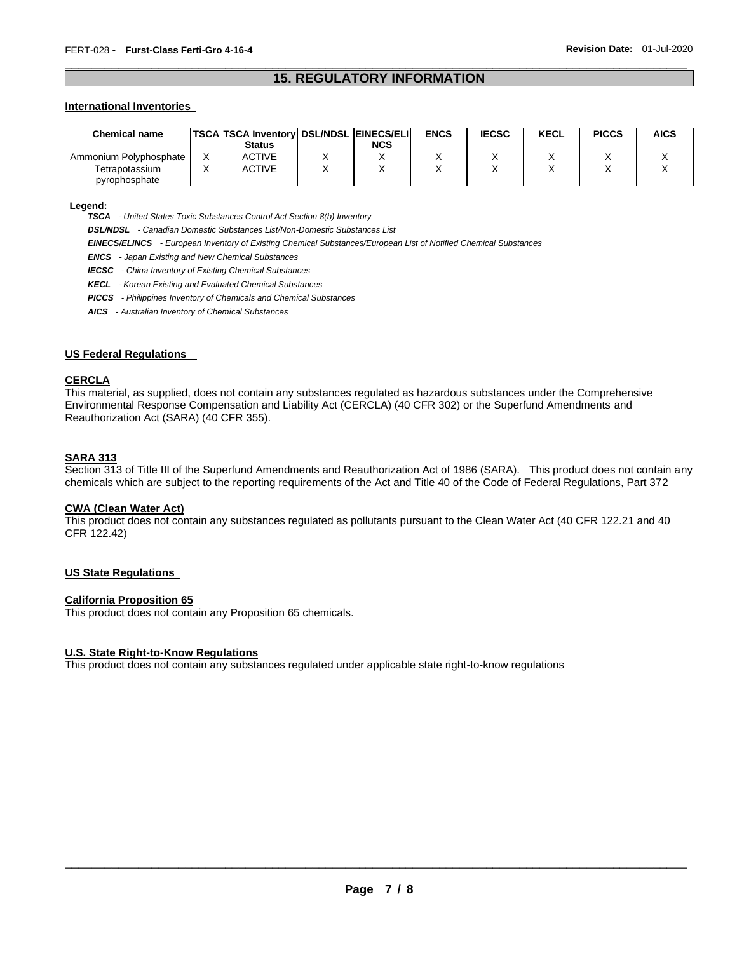# \_\_\_\_\_\_\_\_\_\_\_\_\_\_\_\_\_\_\_\_\_\_\_\_\_\_\_\_\_\_\_\_\_\_\_\_\_\_\_\_\_\_\_\_\_\_\_\_\_\_\_\_\_\_\_\_\_\_\_\_\_\_\_\_\_\_\_\_\_\_\_\_\_\_\_\_\_\_\_\_\_\_\_\_\_\_\_\_\_\_\_\_\_ **15. REGULATORY INFORMATION**

#### **International Inventories**

| <b>Chemical name</b>   | <b>TSCA TSCA Inventory DSL/NDSL EINECS/ELI</b> |     | <b>ENCS</b> | <b>IECSC</b> | <b>KECL</b> | <b>PICCS</b> | <b>AICS</b> |
|------------------------|------------------------------------------------|-----|-------------|--------------|-------------|--------------|-------------|
|                        | <b>Status</b>                                  | NCS |             |              |             |              |             |
| Ammonium Polvphosphate | ACTIVE                                         |     |             |              |             |              |             |
| Tetrapotassium         | ACTIVE                                         |     |             |              |             |              |             |
| pyrophosphate          |                                                |     |             |              |             |              |             |

#### **Legend:**

*TSCA - United States Toxic Substances Control Act Section 8(b) Inventory* 

*DSL/NDSL - Canadian Domestic Substances List/Non-Domestic Substances List* 

*EINECS/ELINCS - European Inventory of Existing Chemical Substances/European List of Notified Chemical Substances* 

*ENCS - Japan Existing and New Chemical Substances* 

*IECSC - China Inventory of Existing Chemical Substances* 

*KECL - Korean Existing and Evaluated Chemical Substances* 

*PICCS - Philippines Inventory of Chemicals and Chemical Substances* 

*AICS - Australian Inventory of Chemical Substances* 

#### **US Federal Regulations**

#### **CERCLA**

This material, as supplied, does not contain any substances regulated as hazardous substances under the Comprehensive Environmental Response Compensation and Liability Act (CERCLA) (40 CFR 302) or the Superfund Amendments and Reauthorization Act (SARA) (40 CFR 355).

#### **SARA 313**

Section 313 of Title III of the Superfund Amendments and Reauthorization Act of 1986 (SARA). This product does not contain any chemicals which are subject to the reporting requirements of the Act and Title 40 of the Code of Federal Regulations, Part 372

# **CWA (Clean Water Act)**

This product does not contain any substances regulated as pollutants pursuant to the Clean Water Act (40 CFR 122.21 and 40 CFR 122.42)

#### **US State Regulations**

#### **California Proposition 65**

This product does not contain any Proposition 65 chemicals.

#### **U.S. State Right-to-Know Regulations**

This product does not contain any substances regulated under applicable state right-to-know regulations